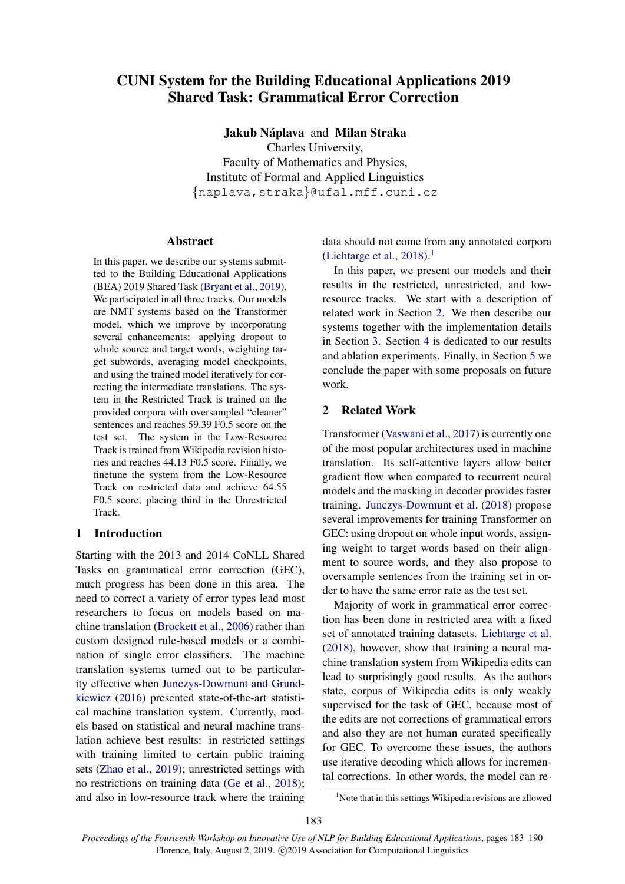# CUNI System for the Building Educational Applications 2019 Shared Task: Grammatical Error Correction

Jakub Náplava and Milan Straka Charles University, Faculty of Mathematics and Physics, Institute of Formal and Applied Linguistics {naplava,straka}@ufal.mff.cuni.cz

# Abstract

In this paper, we describe our systems submitted to the Building Educational Applications (BEA) 2019 Shared Task [\(Bryant et al.,](#page-7-0) [2019\)](#page-7-0). We participated in all three tracks. Our models are NMT systems based on the Transformer model, which we improve by incorporating several enhancements: applying dropout to whole source and target words, weighting target subwords, averaging model checkpoints, and using the trained model iteratively for correcting the intermediate translations. The system in the Restricted Track is trained on the provided corpora with oversampled "cleaner" sentences and reaches 59.39 F0.5 score on the test set. The system in the Low-Resource Track is trained from Wikipedia revision histories and reaches 44.13 F0.5 score. Finally, we finetune the system from the Low-Resource Track on restricted data and achieve 64.55 F0.5 score, placing third in the Unrestricted Track.

# 1 Introduction

Starting with the 2013 and 2014 CoNLL Shared Tasks on grammatical error correction (GEC), much progress has been done in this area. The need to correct a variety of error types lead most researchers to focus on models based on machine translation [\(Brockett et al.,](#page-7-1) [2006\)](#page-7-1) rather than custom designed rule-based models or a combination of single error classifiers. The machine translation systems turned out to be particularity effective when [Junczys-Dowmunt and Grund](#page-7-2)[kiewicz](#page-7-2) [\(2016\)](#page-7-2) presented state-of-the-art statistical machine translation system. Currently, models based on statistical and neural machine translation achieve best results: in restricted settings with training limited to certain public training sets [\(Zhao et al.,](#page-7-3) [2019\)](#page-7-3); unrestricted settings with no restrictions on training data [\(Ge et al.,](#page-7-4) [2018\)](#page-7-4); and also in low-resource track where the training data should not come from any annotated corpora [\(Lichtarge et al.,](#page-7-5) [2018\)](#page-7-5).<sup>[1](#page-0-0)</sup>

In this paper, we present our models and their results in the restricted, unrestricted, and lowresource tracks. We start with a description of related work in Section [2.](#page-0-1) We then describe our systems together with the implementation details in Section [3.](#page-1-0) Section [4](#page-4-0) is dedicated to our results and ablation experiments. Finally, in Section [5](#page-6-0) we conclude the paper with some proposals on future work.

# <span id="page-0-1"></span>2 Related Work

Transformer [\(Vaswani et al.,](#page-7-6) [2017\)](#page-7-6) is currently one of the most popular architectures used in machine translation. Its self-attentive layers allow better gradient flow when compared to recurrent neural models and the masking in decoder provides faster training. [Junczys-Dowmunt et al.](#page-7-7) [\(2018\)](#page-7-7) propose several improvements for training Transformer on GEC: using dropout on whole input words, assigning weight to target words based on their alignment to source words, and they also propose to oversample sentences from the training set in order to have the same error rate as the test set.

Majority of work in grammatical error correction has been done in restricted area with a fixed set of annotated training datasets. [Lichtarge et al.](#page-7-5) [\(2018\)](#page-7-5), however, show that training a neural machine translation system from Wikipedia edits can lead to surprisingly good results. As the authors state, corpus of Wikipedia edits is only weakly supervised for the task of GEC, because most of the edits are not corrections of grammatical errors and also they are not human curated specifically for GEC. To overcome these issues, the authors use iterative decoding which allows for incremental corrections. In other words, the model can re-

<span id="page-0-0"></span><sup>&</sup>lt;sup>1</sup>Note that in this settings Wikipedia revisions are allowed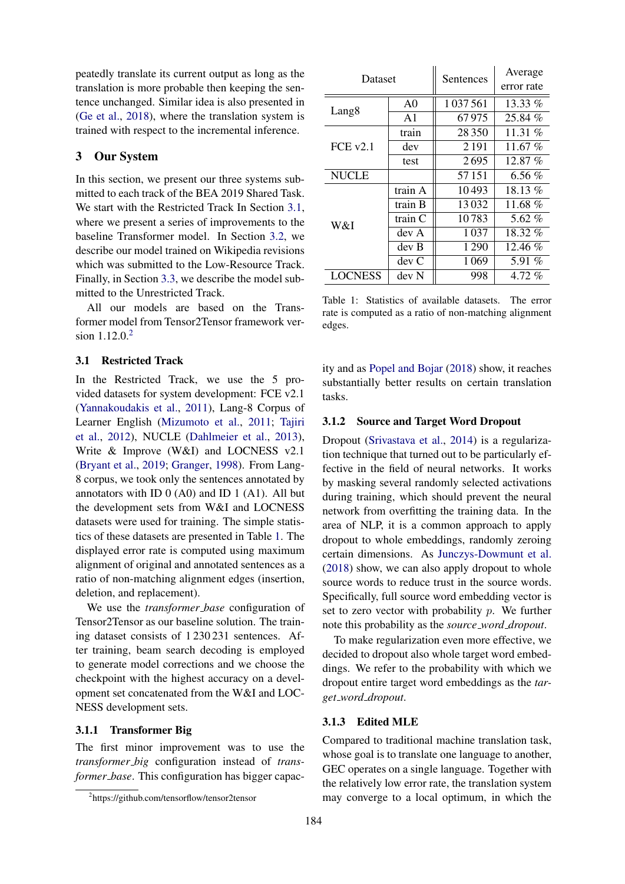peatedly translate its current output as long as the translation is more probable then keeping the sentence unchanged. Similar idea is also presented in [\(Ge et al.,](#page-7-4) [2018\)](#page-7-4), where the translation system is trained with respect to the incremental inference.

# <span id="page-1-0"></span>3 Our System

In this section, we present our three systems submitted to each track of the BEA 2019 Shared Task. We start with the Restricted Track In Section [3.1,](#page-1-1) where we present a series of improvements to the baseline Transformer model. In Section [3.2,](#page-3-0) we describe our model trained on Wikipedia revisions which was submitted to the Low-Resource Track. Finally, in Section [3.3,](#page-3-1) we describe the model submitted to the Unrestricted Track.

All our models are based on the Transformer model from Tensor2Tensor framework version  $1.12.0^{2}$  $1.12.0^{2}$  $1.12.0^{2}$ 

# <span id="page-1-1"></span>3.1 Restricted Track

In the Restricted Track, we use the 5 provided datasets for system development: FCE v2.1 [\(Yannakoudakis et al.,](#page-7-8) [2011\)](#page-7-8), Lang-8 Corpus of Learner English [\(Mizumoto et al.,](#page-7-9) [2011;](#page-7-9) [Tajiri](#page-7-10) [et al.,](#page-7-10) [2012\)](#page-7-10), NUCLE [\(Dahlmeier et al.,](#page-7-11) [2013\)](#page-7-11), Write & Improve (W&I) and LOCNESS v2.1 [\(Bryant et al.,](#page-7-0) [2019;](#page-7-0) [Granger,](#page-7-12) [1998\)](#page-7-12). From Lang-8 corpus, we took only the sentences annotated by annotators with ID  $0(A0)$  and ID  $1(A1)$ . All but the development sets from W&I and LOCNESS datasets were used for training. The simple statistics of these datasets are presented in Table [1.](#page-1-3) The displayed error rate is computed using maximum alignment of original and annotated sentences as a ratio of non-matching alignment edges (insertion, deletion, and replacement).

We use the *transformer base* configuration of Tensor2Tensor as our baseline solution. The training dataset consists of 1 230 231 sentences. After training, beam search decoding is employed to generate model corrections and we choose the checkpoint with the highest accuracy on a development set concatenated from the W&I and LOC-NESS development sets.

#### 3.1.1 Transformer Big

The first minor improvement was to use the *transformer big* configuration instead of *transformer base*. This configuration has bigger capac-

<span id="page-1-3"></span>

| Dataset           |                | Sentences | Average    |
|-------------------|----------------|-----------|------------|
|                   |                |           | error rate |
|                   | A <sub>0</sub> | 1037561   | 13.33 $%$  |
| Lang <sub>8</sub> | A <sub>1</sub> | 67975     | 25.84 %    |
| FCE v2.1          | train          | 28 3 5 0  | 11.31 $%$  |
|                   | dev            | 2 1 9 1   | 11.67 $%$  |
|                   | test           | 2695      | $12.87\%$  |
| <b>NUCLE</b>      |                | 57151     | 6.56 $%$   |
| W&I               | train A        | 10493     | $18.13\%$  |
|                   | train B        | 13032     | 11.68 $%$  |
|                   | train C        | 10783     | 5.62 $%$   |
|                   | dev A          | 1037      | 18.32 %    |
|                   | dev B          | 1290      | 12.46 %    |
|                   | devC           | 1069      | 5.91 $%$   |
| <b>LOCNESS</b>    | dev N          | 998       | $4.72\%$   |
|                   |                |           |            |

Table 1: Statistics of available datasets. The error rate is computed as a ratio of non-matching alignment edges.

ity and as [Popel and Bojar](#page-7-13) [\(2018\)](#page-7-13) show, it reaches substantially better results on certain translation tasks.

# 3.1.2 Source and Target Word Dropout

Dropout [\(Srivastava et al.,](#page-7-14) [2014\)](#page-7-14) is a regularization technique that turned out to be particularly effective in the field of neural networks. It works by masking several randomly selected activations during training, which should prevent the neural network from overfitting the training data. In the area of NLP, it is a common approach to apply dropout to whole embeddings, randomly zeroing certain dimensions. As [Junczys-Dowmunt et al.](#page-7-7) [\(2018\)](#page-7-7) show, we can also apply dropout to whole source words to reduce trust in the source words. Specifically, full source word embedding vector is set to zero vector with probability  $p$ . We further note this probability as the *source word dropout*.

To make regularization even more effective, we decided to dropout also whole target word embeddings. We refer to the probability with which we dropout entire target word embeddings as the *target word dropout*.

# 3.1.3 Edited MLE

Compared to traditional machine translation task, whose goal is to translate one language to another, GEC operates on a single language. Together with the relatively low error rate, the translation system may converge to a local optimum, in which the

<span id="page-1-2"></span><sup>2</sup> https://github.com/tensorflow/tensor2tensor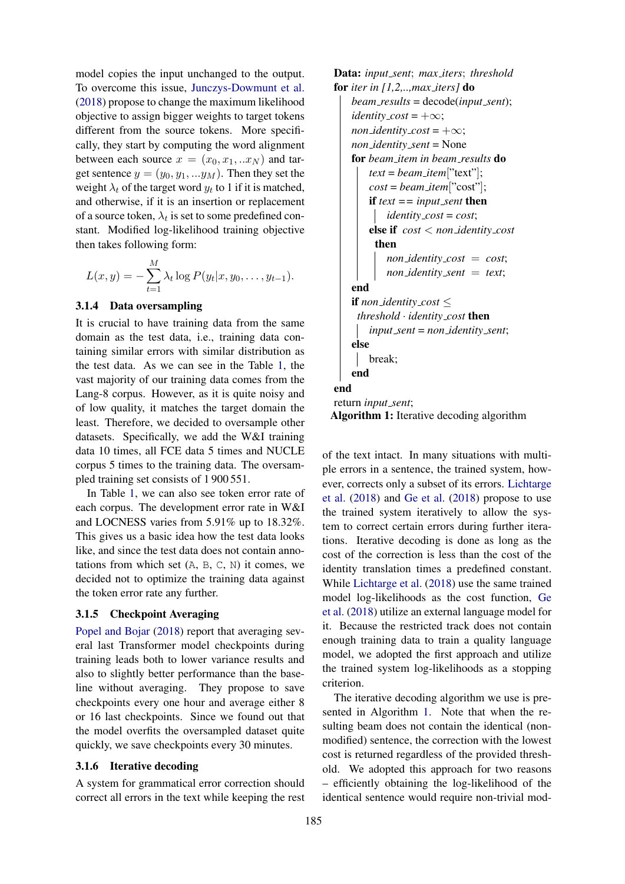model copies the input unchanged to the output. To overcome this issue, [Junczys-Dowmunt et al.](#page-7-7) [\(2018\)](#page-7-7) propose to change the maximum likelihood objective to assign bigger weights to target tokens different from the source tokens. More specifically, they start by computing the word alignment between each source  $x = (x_0, x_1, ... x_N)$  and target sentence  $y = (y_0, y_1, ... y_M)$ . Then they set the weight  $\lambda_t$  of the target word  $y_t$  to 1 if it is matched, and otherwise, if it is an insertion or replacement of a source token,  $\lambda_t$  is set to some predefined constant. Modified log-likelihood training objective then takes following form:

$$
L(x,y) = -\sum_{t=1}^{M} \lambda_t \log P(y_t | x, y_0, \dots, y_{t-1}).
$$

## <span id="page-2-1"></span>3.1.4 Data oversampling

It is crucial to have training data from the same domain as the test data, i.e., training data containing similar errors with similar distribution as the test data. As we can see in the Table [1,](#page-1-3) the vast majority of our training data comes from the Lang-8 corpus. However, as it is quite noisy and of low quality, it matches the target domain the least. Therefore, we decided to oversample other datasets. Specifically, we add the W&I training data 10 times, all FCE data 5 times and NUCLE corpus 5 times to the training data. The oversampled training set consists of 1 900 551.

In Table [1,](#page-1-3) we can also see token error rate of each corpus. The development error rate in W&I and LOCNESS varies from 5.91% up to 18.32%. This gives us a basic idea how the test data looks like, and since the test data does not contain annotations from which set  $(A, B, C, N)$  it comes, we decided not to optimize the training data against the token error rate any further.

# 3.1.5 Checkpoint Averaging

[Popel and Bojar](#page-7-13) [\(2018\)](#page-7-13) report that averaging several last Transformer model checkpoints during training leads both to lower variance results and also to slightly better performance than the baseline without averaging. They propose to save checkpoints every one hour and average either 8 or 16 last checkpoints. Since we found out that the model overfits the oversampled dataset quite quickly, we save checkpoints every 30 minutes.

#### 3.1.6 Iterative decoding

A system for grammatical error correction should correct all errors in the text while keeping the rest

```
Data: input sent; max iters; threshold
for iter in [1,2,..,max iters] do
    beam results = decode(input sent);
    identity\_cost = +\infty;non_identity_cost = +\infty;
    non identity sent = None
    for beam item in beam results do
        text = beam item["text"];
        cost = beam item["cost"];
        if text = input\_sent then
            identity cost = cost;
        else if cost < non identity cost
         then
            non identity cost = cost;
            non identity sent = text;
    end
    if non_identity_cost \leqthreshold · identity cost then
        input sent = non identity sent;
    else
       break;
    end
end
return input sent;
Algorithm 1: Iterative decoding algorithm
```
<span id="page-2-0"></span>of the text intact. In many situations with multiple errors in a sentence, the trained system, however, corrects only a subset of its errors. [Lichtarge](#page-7-5) [et al.](#page-7-5) [\(2018\)](#page-7-5) and [Ge et al.](#page-7-4) [\(2018\)](#page-7-4) propose to use the trained system iteratively to allow the system to correct certain errors during further iterations. Iterative decoding is done as long as the cost of the correction is less than the cost of the identity translation times a predefined constant. While [Lichtarge et al.](#page-7-5) [\(2018\)](#page-7-5) use the same trained model log-likelihoods as the cost function, [Ge](#page-7-4) [et al.](#page-7-4) [\(2018\)](#page-7-4) utilize an external language model for it. Because the restricted track does not contain enough training data to train a quality language model, we adopted the first approach and utilize the trained system log-likelihoods as a stopping criterion.

The iterative decoding algorithm we use is presented in Algorithm [1.](#page-2-0) Note that when the resulting beam does not contain the identical (nonmodified) sentence, the correction with the lowest cost is returned regardless of the provided threshold. We adopted this approach for two reasons – efficiently obtaining the log-likelihood of the identical sentence would require non-trivial mod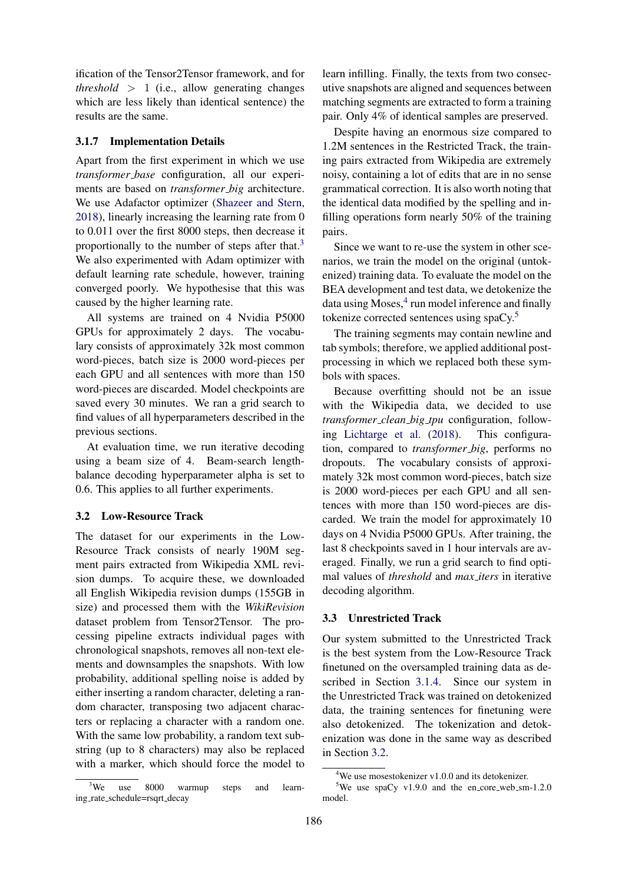ification of the Tensor2Tensor framework, and for *threshold*  $> 1$  (i.e., allow generating changes which are less likely than identical sentence) the results are the same.

#### <span id="page-3-5"></span>3.1.7 Implementation Details

Apart from the first experiment in which we use *transformer base* configuration, all our experiments are based on *transformer big* architecture. We use Adafactor optimizer [\(Shazeer and Stern,](#page-7-15) [2018\)](#page-7-15), linearly increasing the learning rate from 0 to 0.011 over the first 8000 steps, then decrease it proportionally to the number of steps after that.<sup>[3](#page-3-2)</sup> We also experimented with Adam optimizer with default learning rate schedule, however, training converged poorly. We hypothesise that this was caused by the higher learning rate.

All systems are trained on 4 Nvidia P5000 GPUs for approximately 2 days. The vocabulary consists of approximately 32k most common word-pieces, batch size is 2000 word-pieces per each GPU and all sentences with more than 150 word-pieces are discarded. Model checkpoints are saved every 30 minutes. We ran a grid search to find values of all hyperparameters described in the previous sections.

At evaluation time, we run iterative decoding using a beam size of 4. Beam-search lengthbalance decoding hyperparameter alpha is set to 0.6. This applies to all further experiments.

#### <span id="page-3-0"></span>3.2 Low-Resource Track

The dataset for our experiments in the Low-Resource Track consists of nearly 190M segment pairs extracted from Wikipedia XML revision dumps. To acquire these, we downloaded all English Wikipedia revision dumps (155GB in size) and processed them with the *WikiRevision* dataset problem from Tensor2Tensor. The processing pipeline extracts individual pages with chronological snapshots, removes all non-text elements and downsamples the snapshots. With low probability, additional spelling noise is added by either inserting a random character, deleting a random character, transposing two adjacent characters or replacing a character with a random one. With the same low probability, a random text substring (up to 8 characters) may also be replaced with a marker, which should force the model to

<span id="page-3-2"></span> $3$ We use 8000 warmup steps and learning rate schedule=rsqrt decay

learn infilling. Finally, the texts from two consecutive snapshots are aligned and sequences between matching segments are extracted to form a training pair. Only 4% of identical samples are preserved.

Despite having an enormous size compared to 1.2M sentences in the Restricted Track, the training pairs extracted from Wikipedia are extremely noisy, containing a lot of edits that are in no sense grammatical correction. It is also worth noting that the identical data modified by the spelling and infilling operations form nearly 50% of the training pairs.

Since we want to re-use the system in other scenarios, we train the model on the original (untokenized) training data. To evaluate the model on the BEA development and test data, we detokenize the data using Moses,<sup>[4](#page-3-3)</sup> run model inference and finally tokenize corrected sentences using spaCy.[5](#page-3-4)

The training segments may contain newline and tab symbols; therefore, we applied additional postprocessing in which we replaced both these symbols with spaces.

Because overfitting should not be an issue with the Wikipedia data, we decided to use *transformer clean big tpu* configuration, following [Lichtarge et al.](#page-7-5) [\(2018\)](#page-7-5). This configuration, compared to *transformer big*, performs no dropouts. The vocabulary consists of approximately 32k most common word-pieces, batch size is 2000 word-pieces per each GPU and all sentences with more than 150 word-pieces are discarded. We train the model for approximately 10 days on 4 Nvidia P5000 GPUs. After training, the last 8 checkpoints saved in 1 hour intervals are averaged. Finally, we run a grid search to find optimal values of *threshold* and *max iters* in iterative decoding algorithm.

#### <span id="page-3-1"></span>3.3 Unrestricted Track

Our system submitted to the Unrestricted Track is the best system from the Low-Resource Track finetuned on the oversampled training data as described in Section [3.1.4.](#page-2-1) Since our system in the Unrestricted Track was trained on detokenized data, the training sentences for finetuning were also detokenized. The tokenization and detokenization was done in the same way as described in Section [3.2.](#page-3-0)

<span id="page-3-4"></span><span id="page-3-3"></span> $4$ We use mosestokenizer v1.0.0 and its detokenizer.

<sup>&</sup>lt;sup>5</sup>We use spaCy v1.9.0 and the en\_core\_web\_sm-1.2.0 model.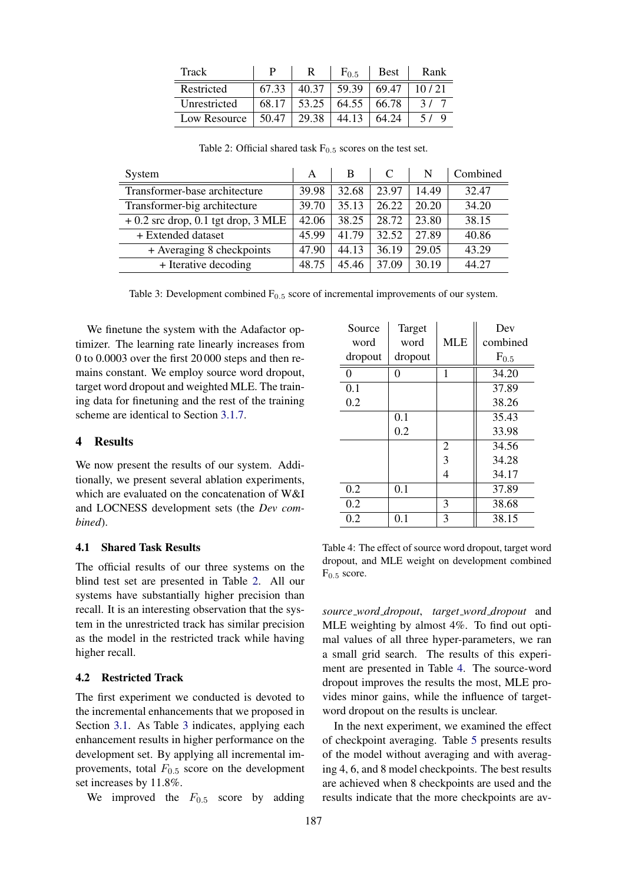<span id="page-4-1"></span>

| Track        |       |       | $F_{0.5}$ | <b>Best</b> | Rank  |
|--------------|-------|-------|-----------|-------------|-------|
| Restricted   | 67.33 | 40.37 | 59.39     | 69.47       | 10/21 |
| Unrestricted | 68.17 | 53.25 | 64.55     | 66.78       |       |
| Low Resource | 50.47 | 29.38 | 44.13     | 64.24       |       |

<span id="page-4-2"></span>System  $A \parallel B \parallel C \parallel N \parallel$  Combined Transformer-base architecture 39.98 32.68 23.97 14.49 32.47 Transformer-big architecture 39.70 35.13 26.22 20.20 34.20  $+ 0.2$  src drop, 0.1 tgt drop, 3 MLE  $\vert 42.06 \vert 38.25 \vert 28.72 \vert 23.80 \vert 38.15 \vert 20.38 \vert 25.380 \vert 38.15 \vert 38.15 \vert 38.15 \vert 38.15 \vert 38.15 \vert 38.15 \vert 38.15 \vert 38.15 \vert 38.15 \vert 38.15 \vert 38.15 \vert 38.15 \vert 38.15 \vert 38.15 \vert 38.15 \vert 38$ + Extended dataset 45.99 41.79 32.52 27.89 40.86 + Averaging 8 checkpoints  $\begin{array}{|c|c|c|c|c|c|c|c|c|} \hline \end{array}$  47.90  $\begin{array}{|c|c|c|c|c|c|} \hline \end{array}$  43.29 + Iterative decoding  $|48.75 |45.46 |37.09 |30.19 |44.27$ 

Table 2: Official shared task  $F_{0.5}$  scores on the test set.

Table 3: Development combined  $F_{0.5}$  score of incremental improvements of our system.

We finetune the system with the Adafactor optimizer. The learning rate linearly increases from 0 to 0.0003 over the first 20 000 steps and then remains constant. We employ source word dropout, target word dropout and weighted MLE. The training data for finetuning and the rest of the training scheme are identical to Section [3.1.7.](#page-3-5)

### <span id="page-4-0"></span>4 Results

We now present the results of our system. Additionally, we present several ablation experiments, which are evaluated on the concatenation of W&I and LOCNESS development sets (the *Dev combined*).

# 4.1 Shared Task Results

The official results of our three systems on the blind test set are presented in Table [2.](#page-4-1) All our systems have substantially higher precision than recall. It is an interesting observation that the system in the unrestricted track has similar precision as the model in the restricted track while having higher recall.

#### 4.2 Restricted Track

The first experiment we conducted is devoted to the incremental enhancements that we proposed in Section [3.1.](#page-1-1) As Table [3](#page-4-2) indicates, applying each enhancement results in higher performance on the development set. By applying all incremental improvements, total  $F_{0.5}$  score on the development set increases by 11.8%.

We improved the  $F_{0.5}$  score by adding

<span id="page-4-3"></span>

| Source  | Target  |                | Dev       |
|---------|---------|----------------|-----------|
| word    | word    | <b>MLE</b>     | combined  |
| dropout | dropout |                | $F_{0.5}$ |
| 0       | 0       | 1              | 34.20     |
| 0.1     |         |                | 37.89     |
| 0.2     |         |                | 38.26     |
|         | 0.1     |                | 35.43     |
|         | 0.2     |                | 33.98     |
|         |         | $\overline{2}$ | 34.56     |
|         |         | 3              | 34.28     |
|         |         | 4              | 34.17     |
| 0.2     | 0.1     |                | 37.89     |
| 0.2     |         | 3              | 38.68     |
| 0.2     | 0.1     | 3              | 38.15     |

Table 4: The effect of source word dropout, target word dropout, and MLE weight on development combined  $F_{0.5}$  score.

*source word dropout*, *target word dropout* and MLE weighting by almost 4%. To find out optimal values of all three hyper-parameters, we ran a small grid search. The results of this experiment are presented in Table [4.](#page-4-3) The source-word dropout improves the results the most, MLE provides minor gains, while the influence of targetword dropout on the results is unclear.

In the next experiment, we examined the effect of checkpoint averaging. Table [5](#page-5-0) presents results of the model without averaging and with averaging 4, 6, and 8 model checkpoints. The best results are achieved when 8 checkpoints are used and the results indicate that the more checkpoints are av-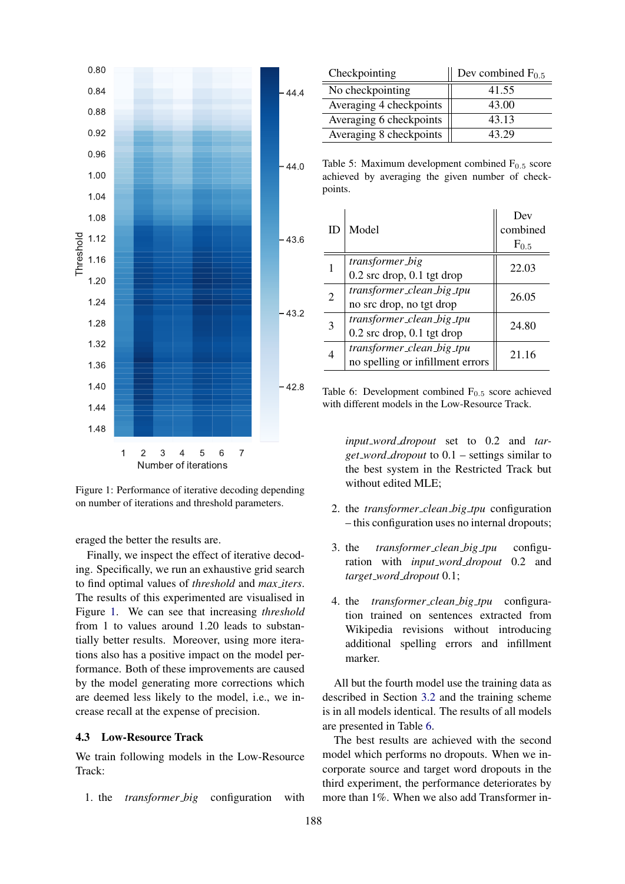<span id="page-5-1"></span>

Figure 1: Performance of iterative decoding depending on number of iterations and threshold parameters.

eraged the better the results are.

Finally, we inspect the effect of iterative decoding. Specifically, we run an exhaustive grid search to find optimal values of *threshold* and *max iters*. The results of this experimented are visualised in Figure [1.](#page-5-1) We can see that increasing *threshold* from 1 to values around 1.20 leads to substantially better results. Moreover, using more iterations also has a positive impact on the model performance. Both of these improvements are caused by the model generating more corrections which are deemed less likely to the model, i.e., we increase recall at the expense of precision.

# 4.3 Low-Resource Track

We train following models in the Low-Resource Track:

1. the *transformer big* configuration with

<span id="page-5-0"></span>

| Checkpointing           | Dev combined $F_{0.5}$ |  |
|-------------------------|------------------------|--|
| No checkpointing        | 41.55                  |  |
| Averaging 4 checkpoints | 43.00                  |  |
| Averaging 6 checkpoints | 43.13                  |  |
| Averaging 8 checkpoints | 43.29                  |  |

Table 5: Maximum development combined  $F_{0.5}$  score achieved by averaging the given number of checkpoints.

<span id="page-5-2"></span>

| ID |                                  | Dev       |  |
|----|----------------------------------|-----------|--|
|    | Model                            | combined  |  |
|    |                                  | $F_{0.5}$ |  |
|    | transformer_big                  | 22.03     |  |
|    | $0.2$ src drop, $0.1$ tgt drop   |           |  |
| 2  | transformer_clean_big_tpu        | 26.05     |  |
|    | no src drop, no tgt drop         |           |  |
| 3  | transformer_clean_big_tpu        | 24.80     |  |
|    | $0.2$ src drop, $0.1$ tgt drop   |           |  |
|    | transformer_clean_big_tpu        | 21.16     |  |
|    | no spelling or infillment errors |           |  |

Table 6: Development combined  $F_{0.5}$  score achieved with different models in the Low-Resource Track.

*input word dropout* set to 0.2 and *target word dropout* to 0.1 – settings similar to the best system in the Restricted Track but without edited MLE;

- 2. the *transformer clean big tpu* configuration – this configuration uses no internal dropouts;
- 3. the *transformer clean big tpu* configuration with *input word dropout* 0.2 and *target word dropout* 0.1;
- 4. the *transformer clean big tpu* configuration trained on sentences extracted from Wikipedia revisions without introducing additional spelling errors and infillment marker.

All but the fourth model use the training data as described in Section [3.2](#page-3-0) and the training scheme is in all models identical. The results of all models are presented in Table [6.](#page-5-2)

The best results are achieved with the second model which performs no dropouts. When we incorporate source and target word dropouts in the third experiment, the performance deteriorates by more than 1%. When we also add Transformer in-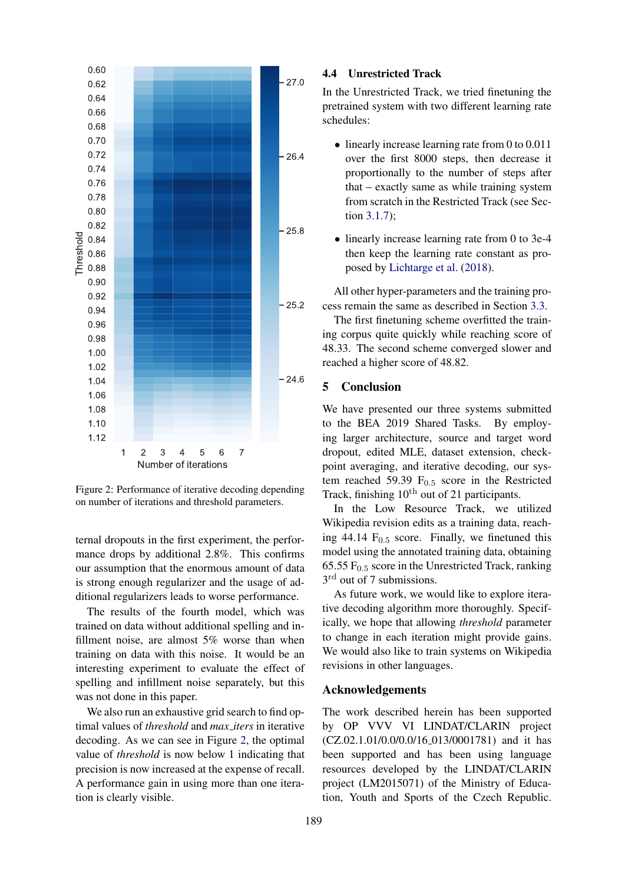<span id="page-6-1"></span>

Figure 2: Performance of iterative decoding depending on number of iterations and threshold parameters.

ternal dropouts in the first experiment, the performance drops by additional 2.8%. This confirms our assumption that the enormous amount of data is strong enough regularizer and the usage of additional regularizers leads to worse performance.

The results of the fourth model, which was trained on data without additional spelling and infillment noise, are almost 5% worse than when training on data with this noise. It would be an interesting experiment to evaluate the effect of spelling and infillment noise separately, but this was not done in this paper.

We also run an exhaustive grid search to find optimal values of *threshold* and *max iters* in iterative decoding. As we can see in Figure [2,](#page-6-1) the optimal value of *threshold* is now below 1 indicating that precision is now increased at the expense of recall. A performance gain in using more than one iteration is clearly visible.

#### 4.4 Unrestricted Track

In the Unrestricted Track, we tried finetuning the pretrained system with two different learning rate schedules:

- linearly increase learning rate from 0 to 0.011 over the first 8000 steps, then decrease it proportionally to the number of steps after that – exactly same as while training system from scratch in the Restricted Track (see Section [3.1.7\)](#page-3-5);
- linearly increase learning rate from 0 to 3e-4 then keep the learning rate constant as proposed by [Lichtarge et al.](#page-7-5) [\(2018\)](#page-7-5).

All other hyper-parameters and the training process remain the same as described in Section [3.3.](#page-3-1)

The first finetuning scheme overfitted the training corpus quite quickly while reaching score of 48.33. The second scheme converged slower and reached a higher score of 48.82.

# <span id="page-6-0"></span>5 Conclusion

We have presented our three systems submitted to the BEA 2019 Shared Tasks. By employing larger architecture, source and target word dropout, edited MLE, dataset extension, checkpoint averaging, and iterative decoding, our system reached 59.39  $F<sub>0.5</sub>$  score in the Restricted Track, finishing  $10<sup>th</sup>$  out of 21 participants.

In the Low Resource Track, we utilized Wikipedia revision edits as a training data, reaching 44.14  $F_{0.5}$  score. Finally, we finetuned this model using the annotated training data, obtaining 65.55  $F<sub>0.5</sub>$  score in the Unrestricted Track, ranking 3<sup>rd</sup> out of 7 submissions.

As future work, we would like to explore iterative decoding algorithm more thoroughly. Specifically, we hope that allowing *threshold* parameter to change in each iteration might provide gains. We would also like to train systems on Wikipedia revisions in other languages.

# Acknowledgements

The work described herein has been supported by OP VVV VI LINDAT/CLARIN project (CZ.02.1.01/0.0/0.0/16 013/0001781) and it has been supported and has been using language resources developed by the LINDAT/CLARIN project (LM2015071) of the Ministry of Education, Youth and Sports of the Czech Republic.